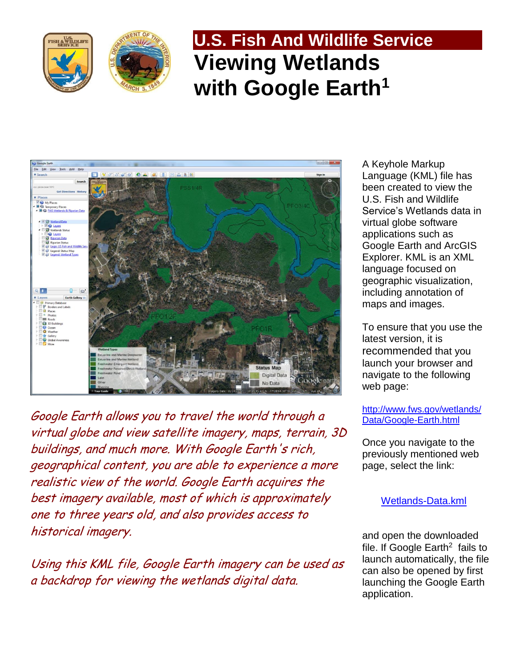





Google Earth allows you to travel the world through a virtual globe and view satellite imagery, maps, terrain, 3D buildings, and much more. With Google Earth's rich, geographical content, you are able to experience a more realistic view of the world. Google Earth acquires the best imagery available, most of which is approximately one to three years old, and also provides access to historical imagery.

Using this KML file, Google Earth imagery can be used as a backdrop for viewing the wetlands digital data.

A Keyhole Markup Language (KML) file has been created to view the U.S. Fish and Wildlife Service's Wetlands data in virtual globe software applications such as Google Earth and ArcGIS Explorer. KML is an XML language focused on geographic visualization, including annotation of maps and images.

To ensure that you use the latest version, it is recommended that you launch your browser and navigate to the following web page:

### [http://www.fws.gov/wetlands/](http://www.fws.gov/wetlands/Data/Google-Earth.html) [Data/Google-Earth.html](http://www.fws.gov/wetlands/Data/Google-Earth.html)

Once you navigate to the previously mentioned web page, select the link:

# [Wetlands-Data.kml](http://www.fws.gov/wetlands/Data/Google-Earth.html)

and open the downloaded file. If Google Earth<sup>2</sup> fails to launch automatically, the file can also be opened by first launching the Google Earth application.